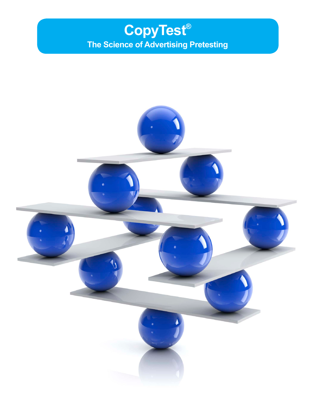# **CopyTest® The Science of Advertising Pretesting**

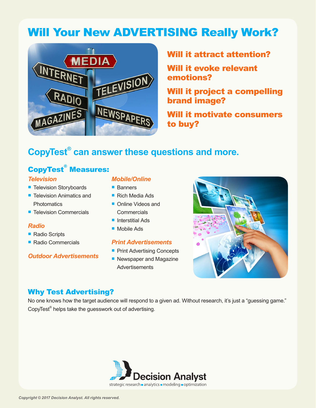# Will Your New ADVERTISING Really Work?



## Will it attract attention?

Will it evoke relevant emotions?

Will it project a compelling brand image?

Will it motivate consumers to buy?

## **CopyTest® can answer these questions and more.**

## CopyTest® Measures:

#### *Television*

- **Television Storyboards**
- Television Animatics and **Photomatics**
- Television Commercials

### *Radio*

- Radio Scripts
- Radio Commercials

### *Outdoor Advertisements*

#### *Mobile/Online*

- Banners
- Rich Media Ads
- Online Videos and **Commercials**
- Interstitial Ads
- Mobile Ads

## *Print Advertisements*

- **Print Advertising Concepts**
- Newspaper and Magazine **Advertisements**



## Why Test Advertising?

No one knows how the target audience will respond to a given ad. Without research, it's just a "guessing game." CopyTest<sup>®</sup> helps take the guesswork out of advertising.

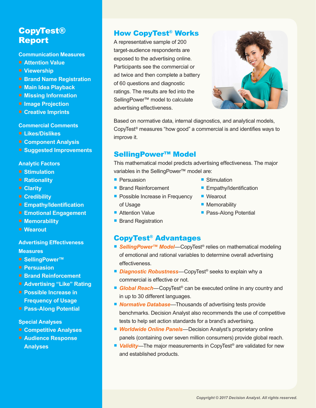## CopyTest® Report

#### **Communication Measures**

- **Attention Value**
- **Viewership**
- **Brand Name Registration**
- **Main Idea Playback**
- **Missing Information**
- **Image Projection**
- **Creative Imprints**

#### **Commercial Comments**

- **Likes/Dislikes**
- **Component Analysis**
- **Suggested Improvements**

#### **Analytic Factors**

- **Stimulation**
- **F** Rationality
- **Clarity**
- **Credibility**
- **Empathy/Identification**
- **Emotional Engagement**
- **Memorability**
- Wearout

#### **Advertising Effectiveness Measures**

- SellingPower<sup>™</sup>
- **Persuasion**
- **Brand Reinforcement**
- **Advertising "Like" Rating**
- **Possible Increase in Frequency of Usage**
- **Pass-Along Potential**

#### **Special Analyses**

- **Competitive Analyses**
- **Audience Response Analyses**

### How CopyTest® Works

A representative sample of 200 target-audience respondents are exposed to the advertising online. Participants see the commercial or ad twice and then complete a battery of 60 questions and diagnostic ratings. The results are fed into the SellingPower™ model to calculate advertising effectiveness.



Based on normative data, internal diagnostics, and analytical models, CopyTest® measures "how good" a commercial is and identifies ways to improve it.

### SellingPower™ Model

This mathematical model predicts advertising effectiveness. The major variables in the SellingPower™ model are:

- **Persuasion**
- Brand Reinforcement
- **Possible Increase in Frequency** of Usage
- Stimulation
- **Empathy/Identification**
- Wearout
- **Memorability**
- **Pass-Along Potential**
- Attention Value
- Brand Registration

## CopyTest® Advantages

- **SellingPower™ Model**—CopyTest<sup>®</sup> relies on mathematical modeling of emotional and rational variables to determine overall advertising effectiveness.
- **Diagnostic Robustness**—CopyTest<sup>®</sup> seeks to explain why a commercial is effective or not.
- **Global Reach**—CopyTest<sup>®</sup> can be executed online in any country and in up to 30 different languages.
- **Normative Database**—Thousands of advertising tests provide benchmarks. Decision Analyst also recommends the use of competitive tests to help set action standards for a brand's advertising.
- *Worldwide Online Panels*—Decision Analyst's proprietary online panels (containing over seven million consumers) provide global reach.
- Validity—The major measurements in CopyTest<sup>®</sup> are validated for new and established products.